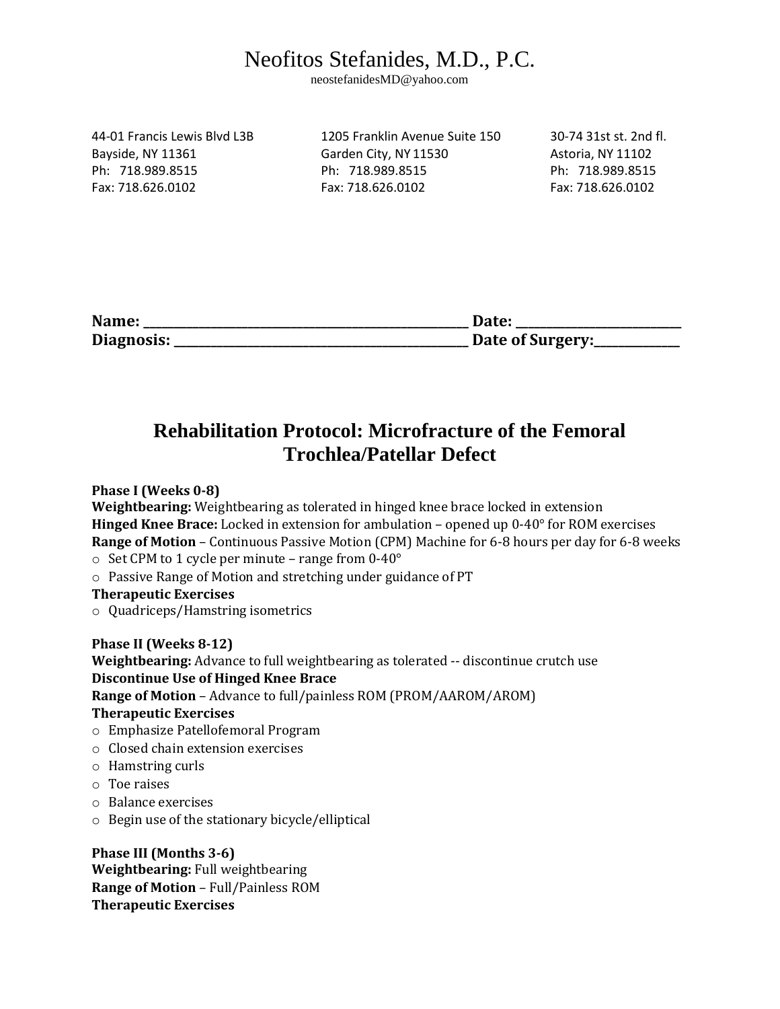## Neofitos Stefanides, M.D., P.C.

neostefanidesMD@yahoo.com

44-01 Francis Lewis Blvd L3B 1205 Franklin Avenue Suite 150 30-74 31st st. 2nd fl. Bayside, NY 11361 Garden City, NY 11530 Astoria, NY 11102 Ph: 718.989.8515 Ph: 718.989.8515 Ph: 718.989.8515 Fax: 718.626.0102 Fax: 718.626.0102 Fax: 718.626.0102

| Name:      | <b>Date:</b>     |
|------------|------------------|
| Diagnosis: | Date of Surgery: |

## **Rehabilitation Protocol: Microfracture of the Femoral Trochlea/Patellar Defect**

**Phase I (Weeks 0-8)** 

**Weightbearing:** Weightbearing as tolerated in hinged knee brace locked in extension **Hinged Knee Brace:** Locked in extension for ambulation – opened up 0-40° for ROM exercises **Range of Motion** – Continuous Passive Motion (CPM) Machine for 6-8 hours per day for 6-8 weeks

- $\circ$  Set CPM to 1 cycle per minute range from 0-40 $^{\circ}$
- o Passive Range of Motion and stretching under guidance of PT

**Therapeutic Exercises** 

o Quadriceps/Hamstring isometrics

**Phase II (Weeks 8-12)** 

**Weightbearing:** Advance to full weightbearing as tolerated -- discontinue crutch use **Discontinue Use of Hinged Knee Brace Range of Motion** – Advance to full/painless ROM (PROM/AAROM/AROM) **Therapeutic Exercises** 

- o Emphasize Patellofemoral Program
- o Closed chain extension exercises
- o Hamstring curls
- o Toe raises
- o Balance exercises
- o Begin use of the stationary bicycle/elliptical

**Phase III (Months 3-6) Weightbearing:** Full weightbearing **Range of Motion** – Full/Painless ROM **Therapeutic Exercises**